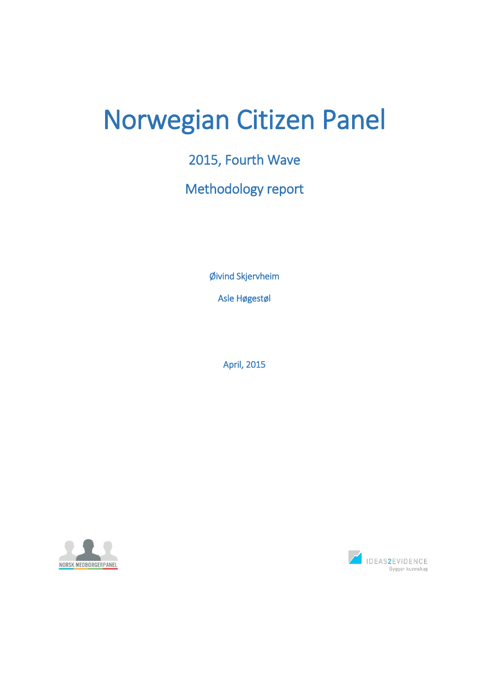# Norwegian Citizen Panel

2015, Fourth Wave

Methodology report

Øivind Skjervheim

Asle Høgestøl

April, 2015



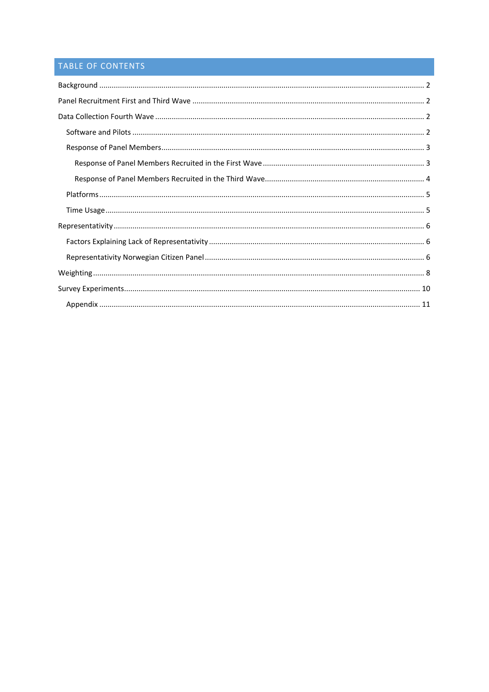## TABLE OF CONTENTS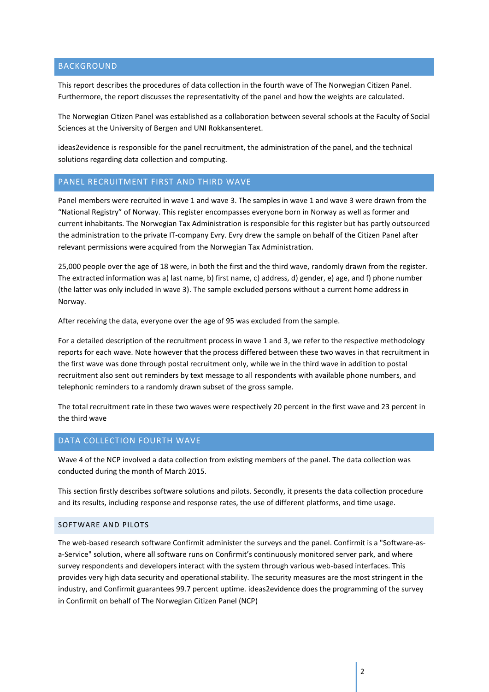## <span id="page-2-0"></span>BACKGROUND

This report describes the procedures of data collection in the fourth wave of The Norwegian Citizen Panel. Furthermore, the report discusses the representativity of the panel and how the weights are calculated.

The Norwegian Citizen Panel was established as a collaboration between several schools at the Faculty of Social Sciences at the University of Bergen and UNI Rokkansenteret.

ideas2evidence is responsible for the panel recruitment, the administration of the panel, and the technical solutions regarding data collection and computing.

## <span id="page-2-1"></span>PANEL RECRUITMENT FIRST AND THIRD WAVE

Panel members were recruited in wave 1 and wave 3. The samples in wave 1 and wave 3 were drawn from the "National Registry" of Norway. This register encompasses everyone born in Norway as well as former and current inhabitants. The Norwegian Tax Administration is responsible for this register but has partly outsourced the administration to the private IT-company Evry. Evry drew the sample on behalf of the Citizen Panel after relevant permissions were acquired from the Norwegian Tax Administration.

25,000 people over the age of 18 were, in both the first and the third wave, randomly drawn from the register. The extracted information was a) last name, b) first name, c) address, d) gender, e) age, and f) phone number (the latter was only included in wave 3). The sample excluded persons without a current home address in Norway.

After receiving the data, everyone over the age of 95 was excluded from the sample.

For a detailed description of the recruitment process in wave 1 and 3, we refer to the respective methodology reports for each wave. Note however that the process differed between these two waves in that recruitment in the first wave was done through postal recruitment only, while we in the third wave in addition to postal recruitment also sent out reminders by text message to all respondents with available phone numbers, and telephonic reminders to a randomly drawn subset of the gross sample.

The total recruitment rate in these two waves were respectively 20 percent in the first wave and 23 percent in the third wave

## <span id="page-2-2"></span>DATA COLLECTION FOURTH WAVE

Wave 4 of the NCP involved a data collection from existing members of the panel. The data collection was conducted during the month of March 2015.

This section firstly describes software solutions and pilots. Secondly, it presents the data collection procedure and its results, including response and response rates, the use of different platforms, and time usage.

## <span id="page-2-3"></span>SOFTWARE AND PILOTS

The web-based research software Confirmit administer the surveys and the panel. Confirmit is a "Software-asa-Service" solution, where all software runs on Confirmit's continuously monitored server park, and where survey respondents and developers interact with the system through various web-based interfaces. This provides very high data security and operational stability. The security measures are the most stringent in the industry, and Confirmit guarantees 99.7 percent uptime. ideas2evidence does the programming of the survey in Confirmit on behalf of The Norwegian Citizen Panel (NCP)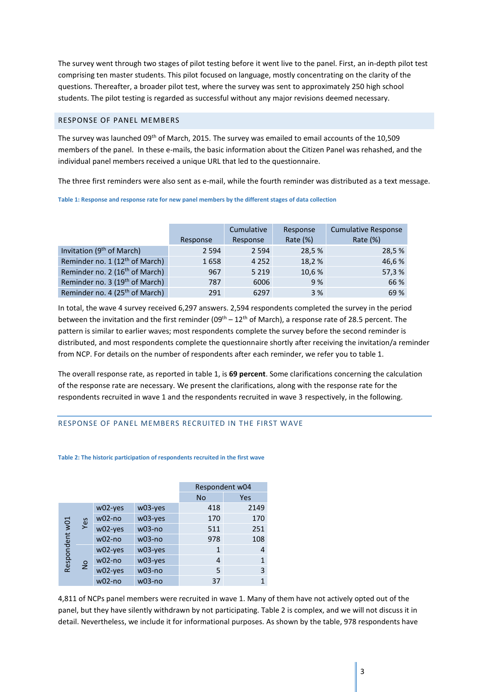The survey went through two stages of pilot testing before it went live to the panel. First, an in-depth pilot test comprising ten master students. This pilot focused on language, mostly concentrating on the clarity of the questions. Thereafter, a broader pilot test, where the survey was sent to approximately 250 high school students. The pilot testing is regarded as successful without any major revisions deemed necessary.

#### <span id="page-3-0"></span>RESPONSE OF PANEL MEMBERS

The survey was launched 09<sup>th</sup> of March, 2015. The survey was emailed to email accounts of the 10,509 members of the panel. In these e-mails, the basic information about the Citizen Panel was rehashed, and the individual panel members received a unique URL that led to the questionnaire.

The three first reminders were also sent as e-mail, while the fourth reminder was distributed as a text message.

**Table 1: Response and response rate for new panel members by the different stages of data collection**

|                                            | Response | Cumulative<br>Response | Response<br>Rate $(\%)$ | <b>Cumulative Response</b><br>Rate $(\%)$ |
|--------------------------------------------|----------|------------------------|-------------------------|-------------------------------------------|
|                                            |          |                        |                         |                                           |
| Invitation (9 <sup>th</sup> of March)      | 2 5 9 4  | 2 5 9 4                | 28,5 %                  | 28,5 %                                    |
| Reminder no. 1 (12 <sup>th</sup> of March) | 1658     | 4 2 5 2                | 18,2%                   | 46,6%                                     |
| Reminder no. 2 (16 <sup>th</sup> of March) | 967      | 5 2 1 9                | 10,6 %                  | 57,3%                                     |
| Reminder no. 3 (19 <sup>th</sup> of March) | 787      | 6006                   | 9%                      | 66 %                                      |
| Reminder no. 4 (25 <sup>th</sup> of March) | 291      | 6297                   | 3%                      | 69 %                                      |

In total, the wave 4 survey received 6,297 answers. 2,594 respondents completed the survey in the period between the invitation and the first reminder (09<sup>th</sup> – 12<sup>th</sup> of March), a response rate of 28.5 percent. The pattern is similar to earlier waves; most respondents complete the survey before the second reminder is distributed, and most respondents complete the questionnaire shortly after receiving the invitation/a reminder from NCP. For details on the number of respondents after each reminder, we refer you to table 1.

The overall response rate, as reported in table 1, is **69 percent**. Some clarifications concerning the calculation of the response rate are necessary. We present the clarifications, along with the response rate for the respondents recruited in wave 1 and the respondents recruited in wave 3 respectively, in the following.

## <span id="page-3-1"></span>RESPONSE OF PANEL MEMBERS RECRUITED IN THE FIRST WAVE

#### **Table 2: The historic participation of respondents recruited in the first wave**

|                |               |          |          | Respondent w04 |              |
|----------------|---------------|----------|----------|----------------|--------------|
|                |               |          |          | <b>No</b>      | Yes          |
|                |               | w02-yes  | w03-yes  | 418            | 2149         |
|                | Yes           | $w02-no$ | w03-yes  | 170            | 170          |
| Respondent w01 |               | w02-yes  | $w03-no$ | 511            | 251          |
|                |               | $w02-no$ | $w03-no$ | 978            | 108          |
|                |               | w02-yes  | w03-yes  | 1              | 4            |
|                | $\frac{1}{2}$ | $w02-no$ | w03-yes  | 4              | $\mathbf{1}$ |
|                |               | w02-yes  | $w03-no$ | 5              | 3            |
|                |               | $w02-no$ | $w03-no$ | 37             | 1            |

4,811 of NCPs panel members were recruited in wave 1. Many of them have not actively opted out of the panel, but they have silently withdrawn by not participating. Table 2 is complex, and we will not discuss it in detail. Nevertheless, we include it for informational purposes. As shown by the table, 978 respondents have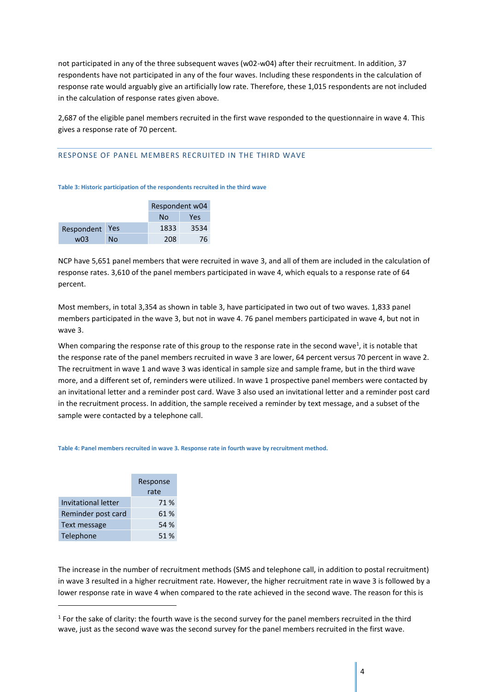not participated in any of the three subsequent waves (w02-w04) after their recruitment. In addition, 37 respondents have not participated in any of the four waves. Including these respondents in the calculation of response rate would arguably give an artificially low rate. Therefore, these 1,015 respondents are not included in the calculation of response rates given above.

2,687 of the eligible panel members recruited in the first wave responded to the questionnaire in wave 4. This gives a response rate of 70 percent.

#### <span id="page-4-0"></span>RESPONSE OF PANEL MEMBERS RECRUITED IN THE THIRD WAVE

**Table 3: Historic participation of the respondents recruited in the third wave**

|            |            | Respondent w04 |      |  |
|------------|------------|----------------|------|--|
|            |            | No             | Yes  |  |
| Respondent | <b>Yes</b> | 1833           | 3534 |  |
| w03        | No         | 208            | 76   |  |

NCP have 5,651 panel members that were recruited in wave 3, and all of them are included in the calculation of response rates. 3,610 of the panel members participated in wave 4, which equals to a response rate of 64 percent.

Most members, in total 3,354 as shown in table 3, have participated in two out of two waves. 1,833 panel members participated in the wave 3, but not in wave 4. 76 panel members participated in wave 4, but not in wave 3.

When comparing the response rate of this group to the response rate in the second wave<sup>1</sup>, it is notable that the response rate of the panel members recruited in wave 3 are lower, 64 percent versus 70 percent in wave 2. The recruitment in wave 1 and wave 3 was identical in sample size and sample frame, but in the third wave more, and a different set of, reminders were utilized. In wave 1 prospective panel members were contacted by an invitational letter and a reminder post card. Wave 3 also used an invitational letter and a reminder post card in the recruitment process. In addition, the sample received a reminder by text message, and a subset of the sample were contacted by a telephone call.

#### **Table 4: Panel members recruited in wave 3. Response rate in fourth wave by recruitment method.**

|                     | Response |
|---------------------|----------|
|                     | rate     |
| Invitational letter | 71 %     |
| Reminder post card  | 61%      |
| Text message        | 54 %     |
| Telephone           | 51 %     |

**.** 

The increase in the number of recruitment methods (SMS and telephone call, in addition to postal recruitment) in wave 3 resulted in a higher recruitment rate. However, the higher recruitment rate in wave 3 is followed by a lower response rate in wave 4 when compared to the rate achieved in the second wave. The reason for this is

 $<sup>1</sup>$  For the sake of clarity: the fourth wave is the second survey for the panel members recruited in the third</sup> wave, just as the second wave was the second survey for the panel members recruited in the first wave.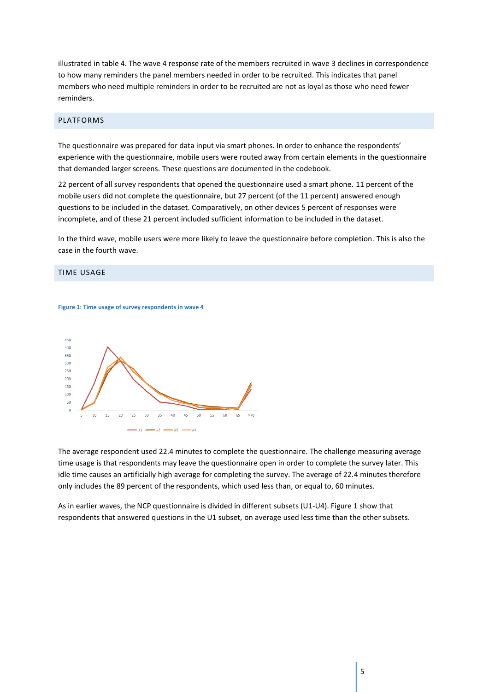illustrated in table 4. The wave 4 response rate of the members recruited in wave 3 declines in correspondence to how many reminders the panel members needed in order to be recruited. This indicates that panel members who need multiple reminders in order to be recruited are not as loyal as those who need fewer reminders.

#### <span id="page-5-0"></span>PLATFORMS

The questionnaire was prepared for data input via smart phones. In order to enhance the respondents' experience with the questionnaire, mobile users were routed away from certain elements in the questionnaire that demanded larger screens. These questions are documented in the codebook.

22 percent of all survey respondents that opened the questionnaire used a smart phone. 11 percent of the mobile users did not complete the questionnaire, but 27 percent (of the 11 percent) answered enough questions to be included in the dataset. Comparatively, on other devices 5 percent of responses were incomplete, and of these 21 percent included sufficient information to be included in the dataset.

In the third wave, mobile users were more likely to leave the questionnaire before completion. This is also the case in the fourth wave.

#### <span id="page-5-1"></span>TIME USAGE

#### **Figure 1: Time usage of survey respondents in wave 4**



The average respondent used 22.4 minutes to complete the questionnaire. The challenge measuring average time usage is that respondents may leave the questionnaire open in order to complete the survey later. This idle time causes an artificially high average for completing the survey. The average of 22.4 minutes therefore only includes the 89 percent of the respondents, which used less than, or equal to, 60 minutes.

As in earlier waves, the NCP questionnaire is divided in different subsets (U1-U4). Figure 1 show that respondents that answered questions in the U1 subset, on average used less time than the other subsets.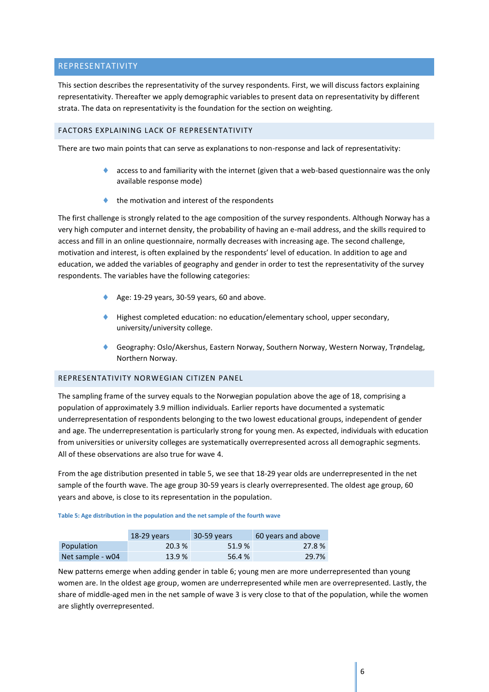## <span id="page-6-0"></span>REPRESENTATIVITY

This section describes the representativity of the survey respondents. First, we will discuss factors explaining representativity. Thereafter we apply demographic variables to present data on representativity by different strata. The data on representativity is the foundation for the section on weighting.

## <span id="page-6-1"></span>FACTORS EXPLAINING LACK OF REPRESENTATIVITY

There are two main points that can serve as explanations to non-response and lack of representativity:

- access to and familiarity with the internet (given that a web-based questionnaire was the only available response mode)
- the motivation and interest of the respondents

The first challenge is strongly related to the age composition of the survey respondents. Although Norway has a very high computer and internet density, the probability of having an e-mail address, and the skills required to access and fill in an online questionnaire, normally decreases with increasing age. The second challenge, motivation and interest, is often explained by the respondents' level of education. In addition to age and education, we added the variables of geography and gender in order to test the representativity of the survey respondents. The variables have the following categories:

- Age: 19-29 years, 30-59 years, 60 and above.
- Highest completed education: no education/elementary school, upper secondary, university/university college.
- Geography: Oslo/Akershus, Eastern Norway, Southern Norway, Western Norway, Trøndelag, Northern Norway.

#### <span id="page-6-2"></span>REPRESENTATIVITY NORWEGIAN CITIZEN PANEL

The sampling frame of the survey equals to the Norwegian population above the age of 18, comprising a population of approximately 3.9 million individuals. Earlier reports have documented a systematic underrepresentation of respondents belonging to the two lowest educational groups, independent of gender and age. The underrepresentation is particularly strong for young men. As expected, individuals with education from universities or university colleges are systematically overrepresented across all demographic segments. All of these observations are also true for wave 4.

From the age distribution presented in table 5, we see that 18-29 year olds are underrepresented in the net sample of the fourth wave. The age group 30-59 years is clearly overrepresented. The oldest age group, 60 years and above, is close to its representation in the population.

**Table 5: Age distribution in the population and the net sample of the fourth wave**

|                  | $18-29$ years | 30-59 years | 60 years and above |
|------------------|---------------|-------------|--------------------|
| Population       | 20.3 %        | 51.9%       | 27.8%              |
| Net sample - w04 | 13.9%         | 56.4 %      | 29.7%              |

New patterns emerge when adding gender in table 6; young men are more underrepresented than young women are. In the oldest age group, women are underrepresented while men are overrepresented. Lastly, the share of middle-aged men in the net sample of wave 3 is very close to that of the population, while the women are slightly overrepresented.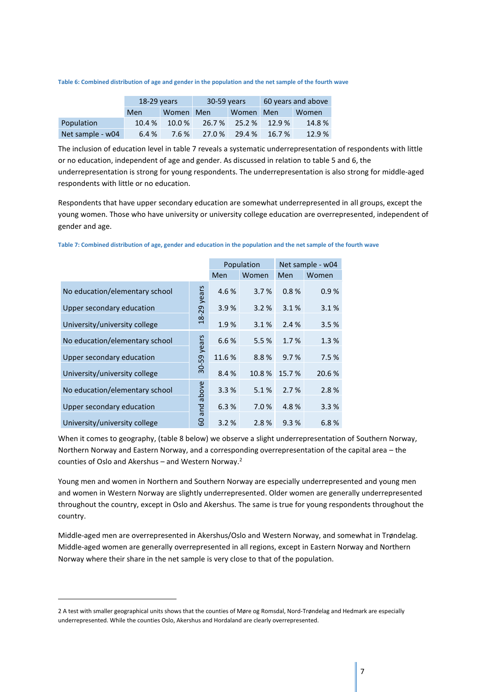|                  | $18-29$ years |           | 30-59 years |           | 60 years and above |       |
|------------------|---------------|-----------|-------------|-----------|--------------------|-------|
|                  | Men           | Women Men |             | Women Men |                    | Women |
| Population       | 10.4 %        | $10.0\%$  | 26.7 %      | 25.2 %    | 12.9%              | 14.8% |
| Net sample - w04 | 6.4 %         | 7.6 %     | 27.0 %      | 29.4%     | 16.7%              | 12.9% |

**Table 6: Combined distribution of age and gender in the population and the net sample of the fourth wave**

The inclusion of education level in table 7 reveals a systematic underrepresentation of respondents with little or no education, independent of age and gender. As discussed in relation to table 5 and 6, the underrepresentation is strong for young respondents. The underrepresentation is also strong for middle-aged respondents with little or no education.

Respondents that have upper secondary education are somewhat underrepresented in all groups, except the young women. Those who have university or university college education are overrepresented, independent of gender and age.

|                                | Population    | Net sample - w04 |       |       |       |
|--------------------------------|---------------|------------------|-------|-------|-------|
|                                | Men           | Women            | Men   | Women |       |
| No education/elementary school | vears         | 4.6%             | 3.7%  | 0.8%  | 0.9%  |
| Upper secondary education      | $-29$         | 3.9%             | 3.2%  | 3.1%  | 3.1%  |
| University/university college  | $\frac{8}{2}$ | 1.9%             | 3.1%  | 2.4%  | 3.5%  |
| No education/elementary school | years         | 6.6%             | 5.5%  | 1.7%  | 1.3%  |
| Upper secondary education      |               | 11.6%            | 8.8%  | 9.7%  | 7.5%  |
| University/university college  | 30-59         | 8.4 %            | 10.8% | 15.7% | 20.6% |
| No education/elementary school | above         | 3.3%             | 5.1%  | 2.7%  | 2.8%  |
| Upper secondary education      | 짇             | 6.3%             | 7.0%  | 4.8%  | 3.3%  |
| University/university college  | ω<br>င္စ      | 3.2%             | 2.8%  | 9.3%  | 6.8%  |

**Table 7: Combined distribution of age, gender and education in the population and the net sample of the fourth wave**

When it comes to geography, (table 8 below) we observe a slight underrepresentation of Southern Norway, Northern Norway and Eastern Norway, and a corresponding overrepresentation of the capital area – the counties of Oslo and Akershus – and Western Norway.<sup>2</sup>

Young men and women in Northern and Southern Norway are especially underrepresented and young men and women in Western Norway are slightly underrepresented. Older women are generally underrepresented throughout the country, except in Oslo and Akershus. The same is true for young respondents throughout the country.

Middle-aged men are overrepresented in Akershus/Oslo and Western Norway, and somewhat in Trøndelag. Middle-aged women are generally overrepresented in all regions, except in Eastern Norway and Northern Norway where their share in the net sample is very close to that of the population.

1

<sup>2</sup> A test with smaller geographical units shows that the counties of Møre og Romsdal, Nord-Trøndelag and Hedmark are especially underrepresented. While the counties Oslo, Akershus and Hordaland are clearly overrepresented.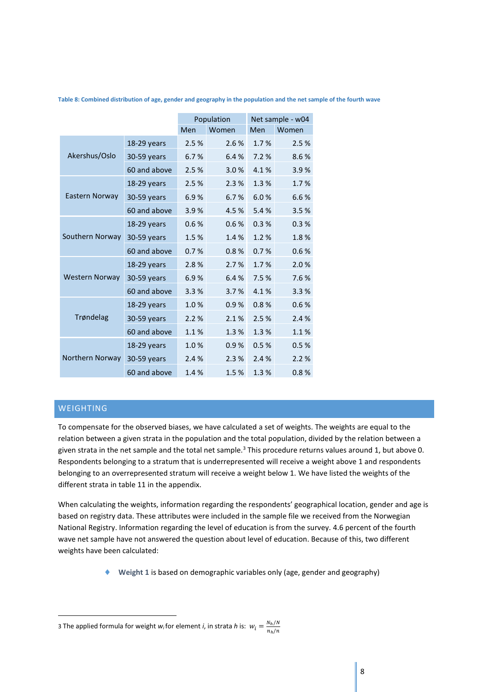|                       |               |      | Population | Net sample - w04 |       |  |
|-----------------------|---------------|------|------------|------------------|-------|--|
|                       |               | Men  | Women      | Men              | Women |  |
|                       | $18-29$ years | 2.5% | 2.6%       | 1.7%             | 2.5%  |  |
| Akershus/Oslo         | 30-59 years   | 6.7% | 6.4%       | 7.2%             | 8.6%  |  |
|                       | 60 and above  | 2.5% | 3.0%       | 4.1%             | 3.9%  |  |
|                       | 18-29 years   | 2.5% | 2.3%       | 1.3%             | 1.7%  |  |
| Eastern Norway        | 30-59 years   | 6.9% | 6.7%       | 6.0%             | 6.6%  |  |
|                       | 60 and above  | 3.9% | 4.5%       | 5.4%             | 3.5%  |  |
|                       | 18-29 years   | 0.6% | 0.6%       | 0.3%             | 0.3%  |  |
| Southern Norway       | 30-59 years   | 1.5% | 1.4%       | 1.2%             | 1.8%  |  |
|                       | 60 and above  | 0.7% | 0.8%       | 0.7%             | 0.6%  |  |
|                       | 18-29 years   | 2.8% | 2.7%       | 1.7%             | 2.0%  |  |
| <b>Western Norway</b> | 30-59 years   | 6.9% | 6.4%       | 7.5%             | 7.6%  |  |
|                       | 60 and above  | 3.3% | 3.7%       | 4.1%             | 3.3%  |  |
|                       | 18-29 years   | 1.0% | 0.9%       | 0.8%             | 0.6%  |  |
| Trøndelag             | 30-59 years   | 2.2% | 2.1%       | 2.5%             | 2.4%  |  |
|                       | 60 and above  | 1.1% | 1.3%       | 1.3%             | 1.1%  |  |
|                       | 18-29 years   | 1.0% | 0.9%       | 0.5%             | 0.5%  |  |
| Northern Norway       | 30-59 years   | 2.4% | 2.3%       | 2.4%             | 2.2%  |  |
|                       | 60 and above  | 1.4% | 1.5%       | 1.3%             | 0.8%  |  |

**Table 8: Combined distribution of age, gender and geography in the population and the net sample of the fourth wave**

## <span id="page-8-0"></span>WEIGHTING

**.** 

To compensate for the observed biases, we have calculated a set of weights. The weights are equal to the relation between a given strata in the population and the total population, divided by the relation between a given strata in the net sample and the total net sample.<sup>3</sup> This procedure returns values around 1, but above 0. Respondents belonging to a stratum that is underrepresented will receive a weight above 1 and respondents belonging to an overrepresented stratum will receive a weight below 1. We have listed the weights of the different strata in table 11 in the appendix.

When calculating the weights, information regarding the respondents' geographical location, gender and age is based on registry data. These attributes were included in the sample file we received from the Norwegian National Registry. Information regarding the level of education is from the survey. 4.6 percent of the fourth wave net sample have not answered the question about level of education. Because of this, two different weights have been calculated:

**Weight 1** is based on demographic variables only (age, gender and geography)

<sup>3</sup> The applied formula for weight  $w_i$  for element *i*, in strata *h* is:  $w_i = \frac{N_h/N}{n \cdot m}$  $n_h/n$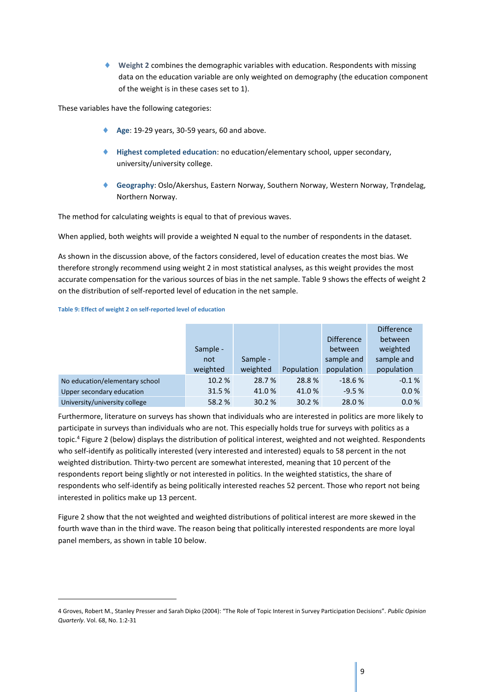**Weight 2** combines the demographic variables with education. Respondents with missing data on the education variable are only weighted on demography (the education component of the weight is in these cases set to 1).

These variables have the following categories:

- **Age**: 19-29 years, 30-59 years, 60 and above.
- **Highest completed education**: no education/elementary school, upper secondary, university/university college.
- **Geography**: Oslo/Akershus, Eastern Norway, Southern Norway, Western Norway, Trøndelag, Northern Norway.

The method for calculating weights is equal to that of previous waves.

When applied, both weights will provide a weighted N equal to the number of respondents in the dataset.

As shown in the discussion above, of the factors considered, level of education creates the most bias. We therefore strongly recommend using weight 2 in most statistical analyses, as this weight provides the most accurate compensation for the various sources of bias in the net sample. Table 9 shows the effects of weight 2 on the distribution of self-reported level of education in the net sample.

**Table 9: Effect of weight 2 on self-reported level of education**

1

|                                |          |          |            |                   | <b>Difference</b> |
|--------------------------------|----------|----------|------------|-------------------|-------------------|
|                                |          |          |            | <b>Difference</b> | between           |
|                                | Sample - |          |            | between           | weighted          |
|                                | not      | Sample - |            | sample and        | sample and        |
|                                | weighted | weighted | Population | population        | population        |
| No education/elementary school | 10.2 %   | 28.7%    | 28.8%      | $-18.6%$          | $-0.1%$           |
| Upper secondary education      | 31.5 %   | 41.0%    | 41.0%      | $-9.5%$           | 0.0%              |
| University/university college  | 58.2 %   | 30.2%    | 30.2%      | 28.0 %            | 0.0 %             |

Furthermore, literature on surveys has shown that individuals who are interested in politics are more likely to participate in surveys than individuals who are not. This especially holds true for surveys with politics as a topic.<sup>4</sup> Figure 2 (below) displays the distribution of political interest, weighted and not weighted. Respondents who self-identify as politically interested (very interested and interested) equals to 58 percent in the not weighted distribution. Thirty-two percent are somewhat interested, meaning that 10 percent of the respondents report being slightly or not interested in politics. In the weighted statistics, the share of respondents who self-identify as being politically interested reaches 52 percent. Those who report not being interested in politics make up 13 percent.

Figure 2 show that the not weighted and weighted distributions of political interest are more skewed in the fourth wave than in the third wave. The reason being that politically interested respondents are more loyal panel members, as shown in table 10 below.

<sup>4</sup> Groves, Robert M., Stanley Presser and Sarah Dipko (2004): "The Role of Topic Interest in Survey Participation Decisions". *Public Opinion Quarterly*. Vol. 68, No. 1:2-31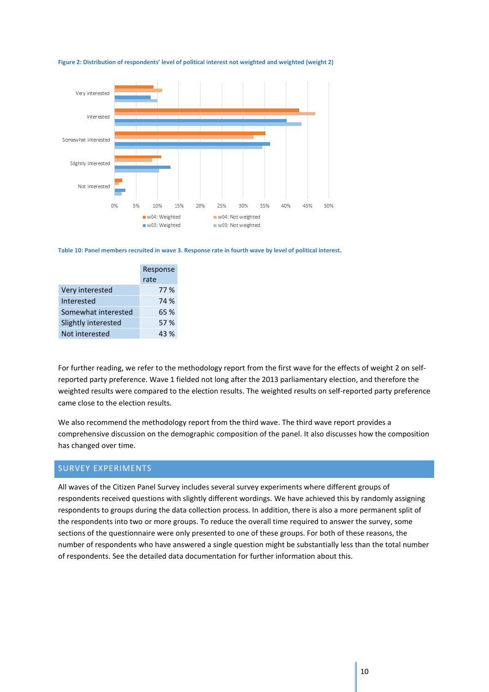

**Figure 2: Distribution of respondents' level of political interest not weighted and weighted (weight 2)**

**Table 10: Panel members recruited in wave 3. Response rate in fourth wave by level of political interest.**

|                     | Response |
|---------------------|----------|
|                     | rate     |
| Very interested     | 77 %     |
| Interested          | 74 %     |
| Somewhat interested | 65 %     |
| Slightly interested | 57 %     |
| Not interested      | 43 %     |

For further reading, we refer to the methodology report from the first wave for the effects of weight 2 on selfreported party preference. Wave 1 fielded not long after the 2013 parliamentary election, and therefore the weighted results were compared to the election results. The weighted results on self-reported party preference came close to the election results.

We also recommend the methodology report from the third wave. The third wave report provides a comprehensive discussion on the demographic composition of the panel. It also discusses how the composition has changed over time.

## <span id="page-10-0"></span>SURVEY EXPERIMENTS

All waves of the Citizen Panel Survey includes several survey experiments where different groups of respondents received questions with slightly different wordings. We have achieved this by randomly assigning respondents to groups during the data collection process. In addition, there is also a more permanent split of the respondents into two or more groups. To reduce the overall time required to answer the survey, some sections of the questionnaire were only presented to one of these groups. For both of these reasons, the number of respondents who have answered a single question might be substantially less than the total number of respondents. See the detailed data documentation for further information about this.